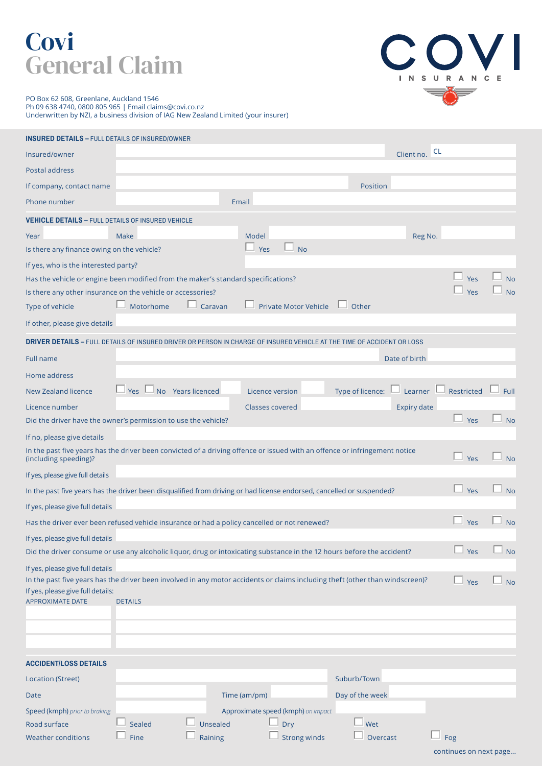## **Covi** General Claim



PO Box 62 608, Greenlane, Auckland 1546 Ph 09 638 4740, 0800 805 965 | Email claims@covi.co.nz Underwritten by NZI, a business division of IAG New Zealand Limited (your insurer)

| <b>INSURED DETAILS - FULL DETAILS OF INSURED/OWNER</b>                            |                |                   |                                                                                                                               |                  |                    |                        |           |
|-----------------------------------------------------------------------------------|----------------|-------------------|-------------------------------------------------------------------------------------------------------------------------------|------------------|--------------------|------------------------|-----------|
| Insured/owner                                                                     |                |                   |                                                                                                                               |                  | Client no. CL      |                        |           |
| Postal address                                                                    |                |                   |                                                                                                                               |                  |                    |                        |           |
| If company, contact name                                                          |                |                   |                                                                                                                               | Position         |                    |                        |           |
| Phone number                                                                      |                |                   | Email                                                                                                                         |                  |                    |                        |           |
| <b>VEHICLE DETAILS - FULL DETAILS OF INSURED VEHICLE</b>                          |                |                   |                                                                                                                               |                  |                    |                        |           |
| Year                                                                              | Make           |                   | Model                                                                                                                         |                  | Reg No.            |                        |           |
| Is there any finance owing on the vehicle?                                        |                |                   | Yes<br><b>No</b>                                                                                                              |                  |                    |                        |           |
| If yes, who is the interested party?                                              |                |                   |                                                                                                                               |                  |                    |                        |           |
| Has the vehicle or engine been modified from the maker's standard specifications? |                |                   |                                                                                                                               |                  |                    | Yes                    | No        |
| Is there any other insurance on the vehicle or accessories?                       |                |                   |                                                                                                                               |                  |                    | Yes                    | <b>No</b> |
| Type of vehicle                                                                   | Motorhome      | Caravan           | <b>Private Motor Vehicle</b>                                                                                                  | Other            |                    |                        |           |
| If other, please give details                                                     |                |                   |                                                                                                                               |                  |                    |                        |           |
|                                                                                   |                |                   | <b>DRIVER DETAILS –</b> FULL DETAILS OF INSURED DRIVER OR PERSON IN CHARGE OF INSURED VEHICLE AT THE TIME OF ACCIDENT OR LOSS |                  |                    |                        |           |
| <b>Full name</b>                                                                  |                |                   |                                                                                                                               |                  | Date of birth      |                        |           |
| Home address                                                                      |                |                   |                                                                                                                               |                  |                    |                        |           |
| <b>New Zealand licence</b>                                                        | Yes L          | No Years licenced | Licence version                                                                                                               | Type of licence: | Learner            | Restricted             | Full      |
| Licence number                                                                    |                |                   | <b>Classes covered</b>                                                                                                        |                  | <b>Expiry date</b> |                        |           |
| Did the driver have the owner's permission to use the vehicle?                    |                |                   |                                                                                                                               |                  |                    | Yes                    | <b>No</b> |
| If no, please give details                                                        |                |                   |                                                                                                                               |                  |                    |                        |           |
| (including speeding)?                                                             |                |                   | In the past five years has the driver been convicted of a driving offence or issued with an offence or infringement notice    |                  |                    | ப<br>Yes               | <b>No</b> |
| If yes, please give full details                                                  |                |                   |                                                                                                                               |                  |                    |                        |           |
|                                                                                   |                |                   | In the past five years has the driver been disqualified from driving or had license endorsed, cancelled or suspended?         |                  |                    | $\Box$ Yes             | $\Box$ No |
| If yes, please give full details                                                  |                |                   |                                                                                                                               |                  |                    |                        |           |
|                                                                                   |                |                   | Has the driver ever been refused vehicle insurance or had a policy cancelled or not renewed?                                  |                  |                    | Yes                    | <b>No</b> |
| If yes, please give full details                                                  |                |                   |                                                                                                                               |                  |                    |                        |           |
|                                                                                   |                |                   | Did the driver consume or use any alcoholic liquor, drug or intoxicating substance in the 12 hours before the accident?       |                  |                    | $\Box$ Yes             | $\Box$ No |
| If yes, please give full details                                                  |                |                   |                                                                                                                               |                  |                    |                        |           |
| If yes, please give full details:                                                 |                |                   | In the past five years has the driver been involved in any motor accidents or claims including theft (other than windscreen)? |                  |                    | Yes                    | <b>No</b> |
| <b>APPROXIMATE DATE</b>                                                           | <b>DETAILS</b> |                   |                                                                                                                               |                  |                    |                        |           |
|                                                                                   |                |                   |                                                                                                                               |                  |                    |                        |           |
|                                                                                   |                |                   |                                                                                                                               |                  |                    |                        |           |
|                                                                                   |                |                   |                                                                                                                               |                  |                    |                        |           |
| <b>ACCIDENT/LOSS DETAILS</b>                                                      |                |                   |                                                                                                                               |                  |                    |                        |           |
| <b>Location (Street)</b>                                                          |                |                   |                                                                                                                               | Suburb/Town      |                    |                        |           |
| Date                                                                              |                |                   | Time (am/pm)                                                                                                                  | Day of the week  |                    |                        |           |
| Speed (kmph) prior to braking                                                     |                |                   | Approximate speed (kmph) on impact                                                                                            |                  |                    |                        |           |
| Road surface                                                                      | Sealed         | Unsealed          | Dry                                                                                                                           | Wet              |                    |                        |           |
| <b>Weather conditions</b>                                                         | Fine           | Raining           | <b>Strong winds</b>                                                                                                           | Overcast         |                    | $\Box$ Fog             |           |
|                                                                                   |                |                   |                                                                                                                               |                  |                    | continues on next page |           |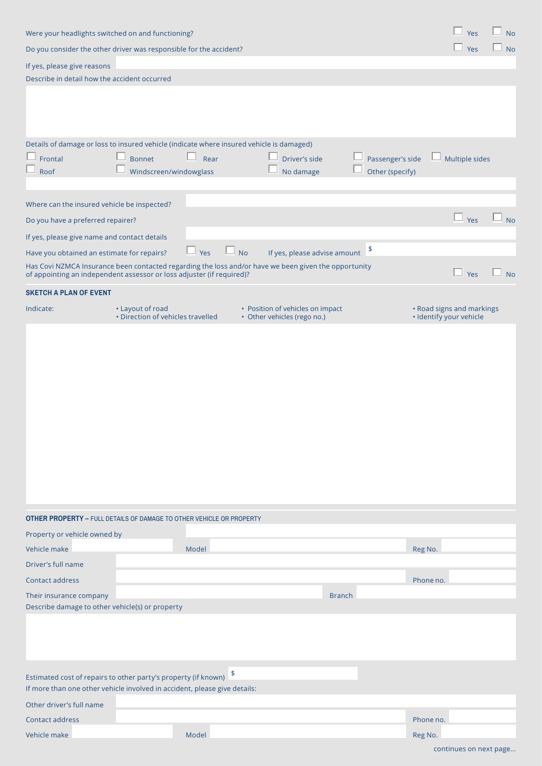| Were your headlights switched on and functioning?                                                                                                                             |                                   |                |              |                                  |               | Yes              | $\perp$ No              |                           |                             |
|-------------------------------------------------------------------------------------------------------------------------------------------------------------------------------|-----------------------------------|----------------|--------------|----------------------------------|---------------|------------------|-------------------------|---------------------------|-----------------------------|
| Do you consider the other driver was responsible for the accident?                                                                                                            |                                   |                |              |                                  |               |                  |                         | $\perp$ Yes               | $\overline{\phantom{a}}$ No |
| If yes, please give reasons                                                                                                                                                   |                                   |                |              |                                  |               |                  |                         |                           |                             |
| Describe in detail how the accident occurred                                                                                                                                  |                                   |                |              |                                  |               |                  |                         |                           |                             |
|                                                                                                                                                                               |                                   |                |              |                                  |               |                  |                         |                           |                             |
|                                                                                                                                                                               |                                   |                |              |                                  |               |                  |                         |                           |                             |
|                                                                                                                                                                               |                                   |                |              |                                  |               |                  |                         |                           |                             |
| Details of damage or loss to insured vehicle (indicate where insured vehicle is damaged)                                                                                      |                                   |                |              |                                  |               |                  |                         |                           |                             |
| Frontal                                                                                                                                                                       | <b>Bonnet</b>                     | $\Box$<br>Rear |              | Driver's side                    |               | Passenger's side |                         | Multiple sides            |                             |
| Roof                                                                                                                                                                          | Windscreen/windowglass            |                |              | No damage                        |               | Other (specify)  |                         |                           |                             |
|                                                                                                                                                                               |                                   |                |              |                                  |               |                  |                         |                           |                             |
| Where can the insured vehicle be inspected?                                                                                                                                   |                                   |                |              |                                  |               |                  |                         |                           |                             |
| Do you have a preferred repairer?                                                                                                                                             |                                   |                |              |                                  |               |                  |                         | Yes                       | No                          |
| If yes, please give name and contact details                                                                                                                                  |                                   |                |              |                                  |               |                  |                         |                           |                             |
| Have you obtained an estimate for repairs?                                                                                                                                    |                                   | $\Box$ Yes     | $\Box$<br>No | If yes, please advise amount \$  |               |                  |                         |                           |                             |
| Has Covi NZMCA Insurance been contacted regarding the loss and/or have we been given the opportunity<br>of appointing an independent assessor or loss adjuster (if required)? |                                   |                |              |                                  |               |                  |                         | $\Box$ Yes                | $\perp$ No                  |
| <b>SKETCH A PLAN OF EVENT</b>                                                                                                                                                 |                                   |                |              |                                  |               |                  |                         |                           |                             |
| Indicate:                                                                                                                                                                     | • Layout of road                  |                |              | • Position of vehicles on impact |               |                  |                         | • Road signs and markings |                             |
|                                                                                                                                                                               | • Direction of vehicles travelled |                |              | • Other vehicles (rego no.)      |               |                  | · Identify your vehicle |                           |                             |
|                                                                                                                                                                               |                                   |                |              |                                  |               |                  |                         |                           |                             |
|                                                                                                                                                                               |                                   |                |              |                                  |               |                  |                         |                           |                             |
|                                                                                                                                                                               |                                   |                |              |                                  |               |                  |                         |                           |                             |
|                                                                                                                                                                               |                                   |                |              |                                  |               |                  |                         |                           |                             |
|                                                                                                                                                                               |                                   |                |              |                                  |               |                  |                         |                           |                             |
|                                                                                                                                                                               |                                   |                |              |                                  |               |                  |                         |                           |                             |
|                                                                                                                                                                               |                                   |                |              |                                  |               |                  |                         |                           |                             |
|                                                                                                                                                                               |                                   |                |              |                                  |               |                  |                         |                           |                             |
|                                                                                                                                                                               |                                   |                |              |                                  |               |                  |                         |                           |                             |
|                                                                                                                                                                               |                                   |                |              |                                  |               |                  |                         |                           |                             |
|                                                                                                                                                                               |                                   |                |              |                                  |               |                  |                         |                           |                             |
|                                                                                                                                                                               |                                   |                |              |                                  |               |                  |                         |                           |                             |
| <b>OTHER PROPERTY - FULL DETAILS OF DAMAGE TO OTHER VEHICLE OR PROPERTY</b>                                                                                                   |                                   |                |              |                                  |               |                  |                         |                           |                             |
| Property or vehicle owned by                                                                                                                                                  |                                   |                |              |                                  |               |                  |                         |                           |                             |
| Vehicle make                                                                                                                                                                  |                                   | Model          |              |                                  |               |                  | Reg No.                 |                           |                             |
| Driver's full name                                                                                                                                                            |                                   |                |              |                                  |               |                  |                         |                           |                             |
| Contact address                                                                                                                                                               |                                   |                |              |                                  |               |                  | Phone no.               |                           |                             |
| Their insurance company                                                                                                                                                       |                                   |                |              |                                  | <b>Branch</b> |                  |                         |                           |                             |
| Describe damage to other vehicle(s) or property                                                                                                                               |                                   |                |              |                                  |               |                  |                         |                           |                             |
|                                                                                                                                                                               |                                   |                |              |                                  |               |                  |                         |                           |                             |
|                                                                                                                                                                               |                                   |                |              |                                  |               |                  |                         |                           |                             |
|                                                                                                                                                                               |                                   |                |              |                                  |               |                  |                         |                           |                             |
| Estimated cost of repairs to other party's property (if known) $\frac{1}{2}$                                                                                                  |                                   |                |              |                                  |               |                  |                         |                           |                             |
| If more than one other vehicle involved in accident, please give details:                                                                                                     |                                   |                |              |                                  |               |                  |                         |                           |                             |
| Other driver's full name                                                                                                                                                      |                                   |                |              |                                  |               |                  |                         |                           |                             |
| <b>Contact address</b>                                                                                                                                                        |                                   |                |              |                                  |               |                  | Phone no.               |                           |                             |
| Vehicle make                                                                                                                                                                  |                                   | Model          |              |                                  |               |                  | Reg No.                 |                           |                             |
|                                                                                                                                                                               |                                   |                |              |                                  |               |                  |                         |                           |                             |